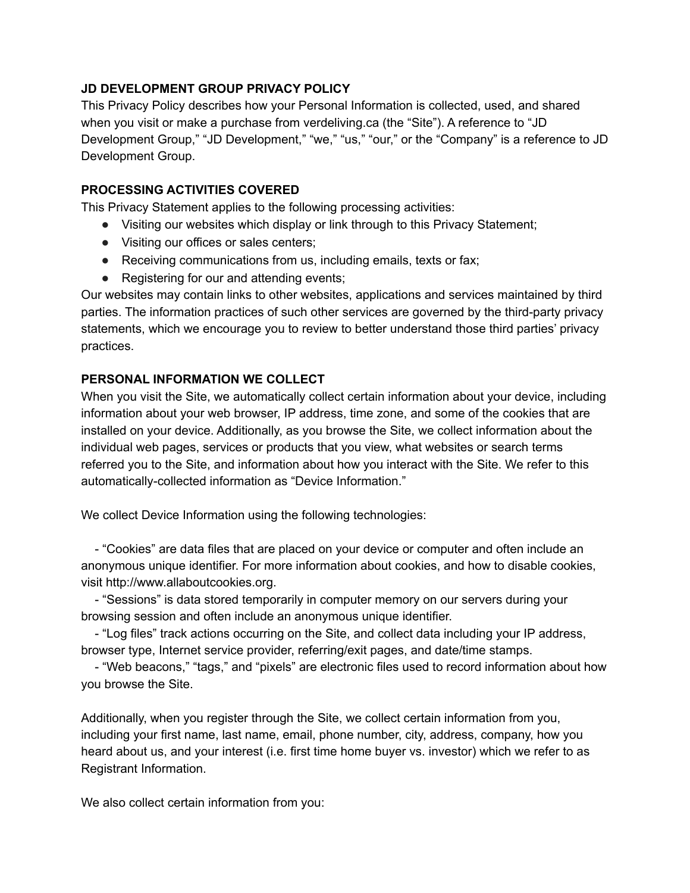## **JD DEVELOPMENT GROUP PRIVACY POLICY**

This Privacy Policy describes how your Personal Information is collected, used, and shared when you visit or make a purchase from verdeliving.ca (the "Site"). A reference to "JD Development Group," "JD Development," "we," "us," "our," or the "Company" is a reference to JD Development Group.

#### **PROCESSING ACTIVITIES COVERED**

This Privacy Statement applies to the following processing activities:

- Visiting our websites which display or link through to this Privacy Statement;
- Visiting our offices or sales centers;
- Receiving communications from us, including emails, texts or fax;
- Registering for our and attending events;

Our websites may contain links to other websites, applications and services maintained by third parties. The information practices of such other services are governed by the third-party privacy statements, which we encourage you to review to better understand those third parties' privacy practices.

#### **PERSONAL INFORMATION WE COLLECT**

When you visit the Site, we automatically collect certain information about your device, including information about your web browser, IP address, time zone, and some of the cookies that are installed on your device. Additionally, as you browse the Site, we collect information about the individual web pages, services or products that you view, what websites or search terms referred you to the Site, and information about how you interact with the Site. We refer to this automatically-collected information as "Device Information."

We collect Device Information using the following technologies:

- "Cookies" are data files that are placed on your device or computer and often include an anonymous unique identifier. For more information about cookies, and how to disable cookies, visit http://www.allaboutcookies.org.

- "Sessions" is data stored temporarily in computer memory on our servers during your browsing session and often include an anonymous unique identifier.

- "Log files" track actions occurring on the Site, and collect data including your IP address, browser type, Internet service provider, referring/exit pages, and date/time stamps.

- "Web beacons," "tags," and "pixels" are electronic files used to record information about how you browse the Site.

Additionally, when you register through the Site, we collect certain information from you, including your first name, last name, email, phone number, city, address, company, how you heard about us, and your interest (i.e. first time home buyer vs. investor) which we refer to as Registrant Information.

We also collect certain information from you: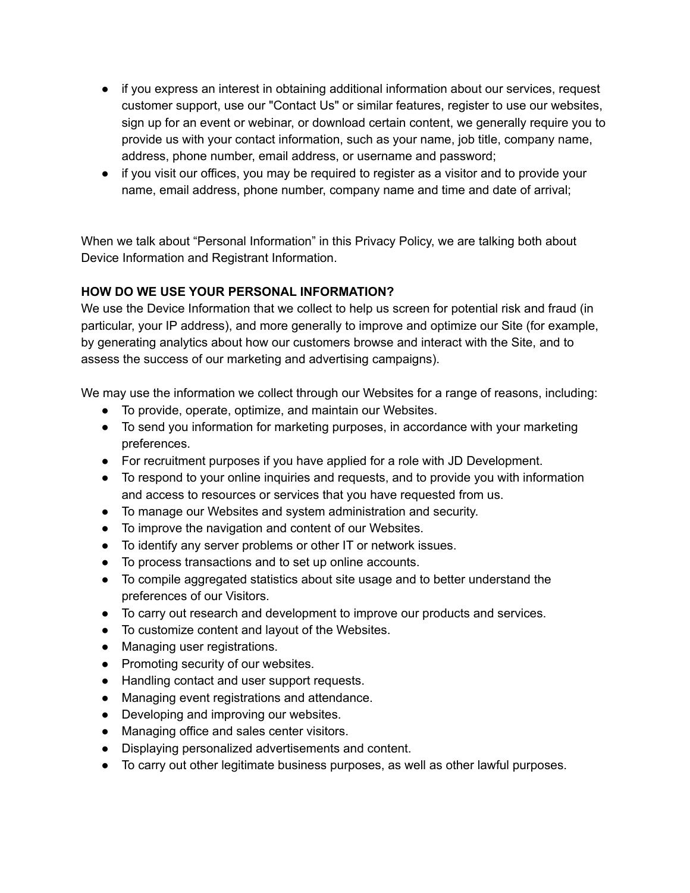- if you express an interest in obtaining additional information about our services, request customer support, use our "Contact Us" or similar features, register to use our websites, sign up for an event or webinar, or download certain content, we generally require you to provide us with your contact information, such as your name, job title, company name, address, phone number, email address, or username and password;
- if you visit our offices, you may be required to register as a visitor and to provide your name, email address, phone number, company name and time and date of arrival;

When we talk about "Personal Information" in this Privacy Policy, we are talking both about Device Information and Registrant Information.

## **HOW DO WE USE YOUR PERSONAL INFORMATION?**

We use the Device Information that we collect to help us screen for potential risk and fraud (in particular, your IP address), and more generally to improve and optimize our Site (for example, by generating analytics about how our customers browse and interact with the Site, and to assess the success of our marketing and advertising campaigns).

We may use the information we collect through our Websites for a range of reasons, including:

- To provide, operate, optimize, and maintain our Websites.
- To send you information for marketing purposes, in accordance with your marketing preferences.
- For recruitment purposes if you have applied for a role with JD Development.
- To respond to your online inquiries and requests, and to provide you with information and access to resources or services that you have requested from us.
- To manage our Websites and system administration and security.
- To improve the navigation and content of our Websites.
- To identify any server problems or other IT or network issues.
- To process transactions and to set up online accounts.
- To compile aggregated statistics about site usage and to better understand the preferences of our Visitors.
- To carry out research and development to improve our products and services.
- To customize content and layout of the Websites.
- Managing user registrations.
- Promoting security of our websites.
- Handling contact and user support requests.
- Managing event registrations and attendance.
- Developing and improving our websites.
- Managing office and sales center visitors.
- Displaying personalized advertisements and content.
- To carry out other legitimate business purposes, as well as other lawful purposes.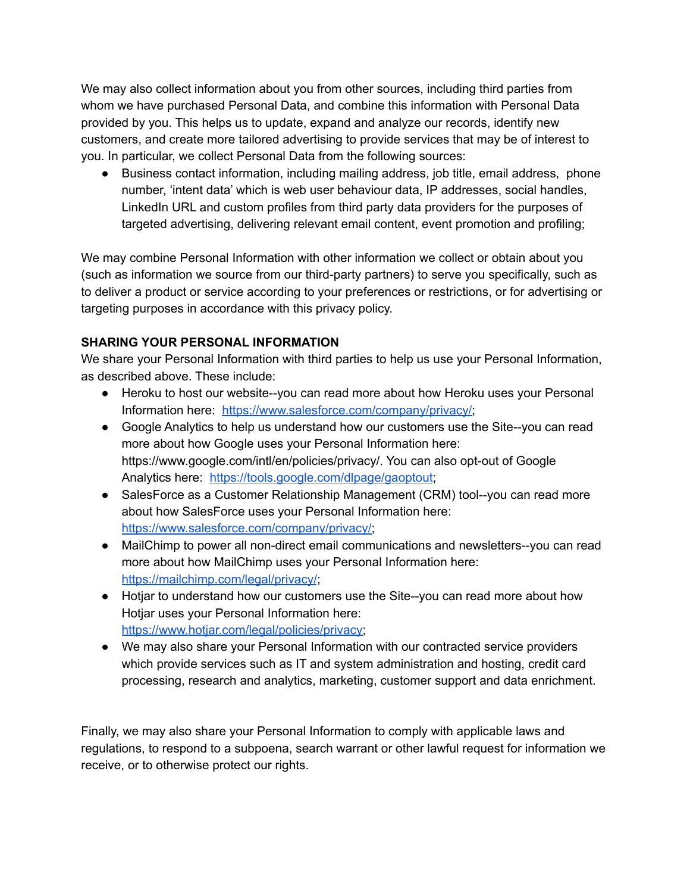We may also collect information about you from other sources, including third parties from whom we have purchased Personal Data, and combine this information with Personal Data provided by you. This helps us to update, expand and analyze our records, identify new customers, and create more tailored advertising to provide services that may be of interest to you. In particular, we collect Personal Data from the following sources:

● Business contact information, including mailing address, job title, email address, phone number, 'intent data' which is web user behaviour data, IP addresses, social handles, LinkedIn URL and custom profiles from third party data providers for the purposes of targeted advertising, delivering relevant email content, event promotion and profiling;

We may combine Personal Information with other information we collect or obtain about you (such as information we source from our third-party partners) to serve you specifically, such as to deliver a product or service according to your preferences or restrictions, or for advertising or targeting purposes in accordance with this privacy policy.

# **SHARING YOUR PERSONAL INFORMATION**

We share your Personal Information with third parties to help us use your Personal Information, as described above. These include:

- Heroku to host our website--you can read more about how Heroku uses your Personal Information here: [https://www.salesforce.com/company/privacy/;](https://www.salesforce.com/company/privacy/)
- Google Analytics to help us understand how our customers use the Site--you can read more about how Google uses your Personal Information here: https://www.google.com/intl/en/policies/privacy/. You can also opt-out of Google Analytics here: <https://tools.google.com/dlpage/gaoptout>;
- SalesForce as a Customer Relationship Management (CRM) tool--you can read more about how SalesForce uses your Personal Information here: [https://www.salesforce.com/company/privacy/;](https://www.salesforce.com/company/privacy/)
- MailChimp to power all non-direct email communications and newsletters--you can read more about how MailChimp uses your Personal Information here: <https://mailchimp.com/legal/privacy/>;
- Hotjar to understand how our customers use the Site--you can read more about how Hotjar uses your Personal Information here: [https://www.hotjar.com/legal/policies/privacy;](https://www.hotjar.com/legal/policies/privacy)
- We may also share your Personal Information with our contracted service providers which provide services such as IT and system administration and hosting, credit card processing, research and analytics, marketing, customer support and data enrichment.

Finally, we may also share your Personal Information to comply with applicable laws and regulations, to respond to a subpoena, search warrant or other lawful request for information we receive, or to otherwise protect our rights.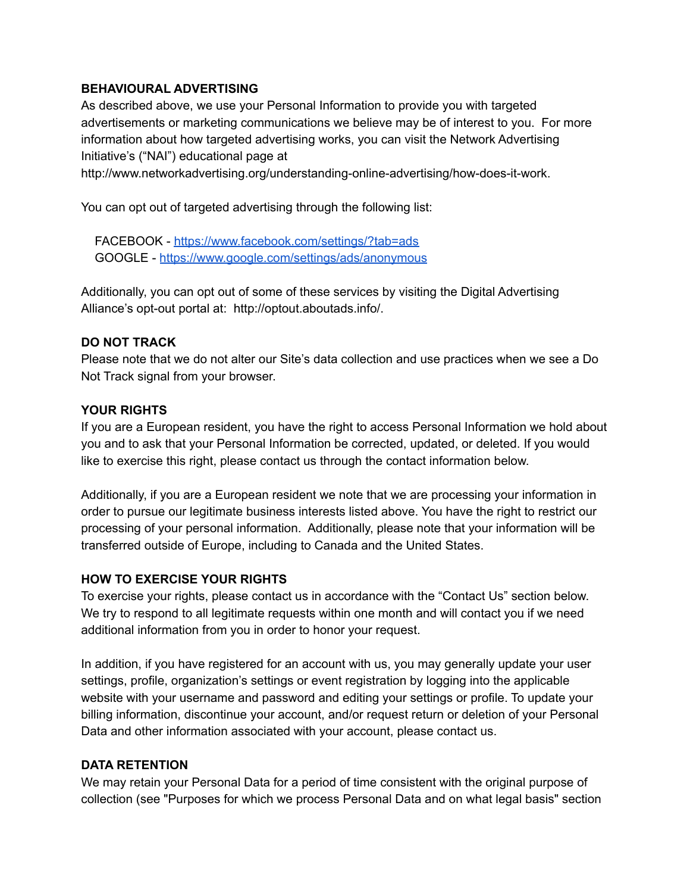#### **BEHAVIOURAL ADVERTISING**

As described above, we use your Personal Information to provide you with targeted advertisements or marketing communications we believe may be of interest to you. For more information about how targeted advertising works, you can visit the Network Advertising Initiative's ("NAI") educational page at

http://www.networkadvertising.org/understanding-online-advertising/how-does-it-work.

You can opt out of targeted advertising through the following list:

FACEBOOK - <https://www.facebook.com/settings/?tab=ads> GOOGLE - <https://www.google.com/settings/ads/anonymous>

Additionally, you can opt out of some of these services by visiting the Digital Advertising Alliance's opt-out portal at: http://optout.aboutads.info/.

#### **DO NOT TRACK**

Please note that we do not alter our Site's data collection and use practices when we see a Do Not Track signal from your browser.

#### **YOUR RIGHTS**

If you are a European resident, you have the right to access Personal Information we hold about you and to ask that your Personal Information be corrected, updated, or deleted. If you would like to exercise this right, please contact us through the contact information below.

Additionally, if you are a European resident we note that we are processing your information in order to pursue our legitimate business interests listed above. You have the right to restrict our processing of your personal information. Additionally, please note that your information will be transferred outside of Europe, including to Canada and the United States.

## **HOW TO EXERCISE YOUR RIGHTS**

To exercise your rights, please contact us in accordance with the "Contact Us" section below. We try to respond to all legitimate requests within one month and will contact you if we need additional information from you in order to honor your request.

In addition, if you have registered for an account with us, you may generally update your user settings, profile, organization's settings or event registration by logging into the applicable website with your username and password and editing your settings or profile. To update your billing information, discontinue your account, and/or request return or deletion of your Personal Data and other information associated with your account, please contact us.

#### **DATA RETENTION**

We may retain your Personal Data for a period of time consistent with the original purpose of collection (see "Purposes for which we process Personal Data and on what legal basis" section